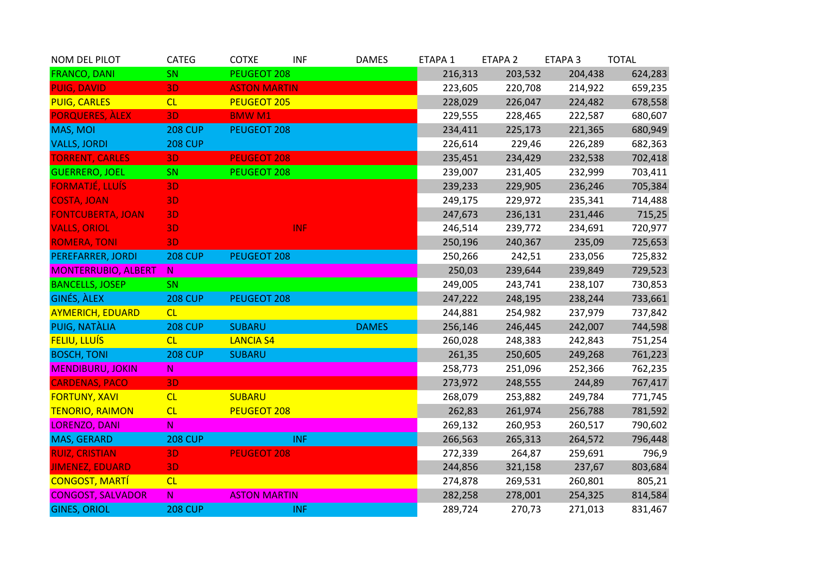| NOM DEL PILOT              | <b>CATEG</b>   | <b>COTXE</b>        | <b>INF</b> | <b>DAMES</b> | ETAPA 1 | ETAPA <sub>2</sub> | ETAPA <sub>3</sub> | <b>TOTAL</b> |
|----------------------------|----------------|---------------------|------------|--------------|---------|--------------------|--------------------|--------------|
| <b>FRANCO, DANI</b>        | SN             | PEUGEOT 208         |            |              | 216,313 | 203,532            | 204,438            | 624,283      |
| <b>PUIG, DAVID</b>         | 3D             | <b>ASTON MARTIN</b> |            |              | 223,605 | 220,708            | 214,922            | 659,235      |
| <b>PUIG, CARLES</b>        | CL             | <b>PEUGEOT 205</b>  |            |              | 228,029 | 226,047            | 224,482            | 678,558      |
| <b>PORQUERES, ALEX</b>     | 3D             | <b>BMWM1</b>        |            |              | 229,555 | 228,465            | 222,587            | 680,607      |
| MAS, MOI                   | <b>208 CUP</b> | PEUGEOT 208         |            |              | 234,411 | 225,173            | 221,365            | 680,949      |
| <b>VALLS, JORDI</b>        | <b>208 CUP</b> |                     |            |              | 226,614 | 229,46             | 226,289            | 682,363      |
| <b>TORRENT, CARLES</b>     | 3D             | <b>PEUGEOT 208</b>  |            |              | 235,451 | 234,429            | 232,538            | 702,418      |
| <b>GUERRERO, JOEL</b>      | SN             | PEUGEOT 208         |            |              | 239,007 | 231,405            | 232,999            | 703,411      |
| <b>FORMATJÉ, LLUÍS</b>     | 3D             |                     |            |              | 239,233 | 229,905            | 236,246            | 705,384      |
| <b>COSTA, JOAN</b>         | <b>3D</b>      |                     |            |              | 249,175 | 229,972            | 235,341            | 714,488      |
| <b>FONTCUBERTA, JOAN</b>   | <b>3D</b>      |                     |            |              | 247,673 | 236,131            | 231,446            | 715,25       |
| <b>VALLS, ORIOL</b>        | 3D             |                     | <b>INF</b> |              | 246,514 | 239,772            | 234,691            | 720,977      |
| <b>ROMERA, TONI</b>        | 3D             |                     |            |              | 250,196 | 240,367            | 235,09             | 725,653      |
| PEREFARRER, JORDI          | <b>208 CUP</b> | PEUGEOT 208         |            |              | 250,266 | 242,51             | 233,056            | 725,832      |
| <b>MONTERRUBIO, ALBERT</b> | $\mathbb N$    |                     |            |              | 250,03  | 239,644            | 239,849            | 729,523      |
| <b>BANCELLS, JOSEP</b>     | SN             |                     |            |              | 249,005 | 243,741            | 238,107            | 730,853      |
| <b>GINÉS, ALEX</b>         | <b>208 CUP</b> | <b>PEUGEOT 208</b>  |            |              | 247,222 | 248,195            | 238,244            | 733,661      |
| <b>AYMERICH, EDUARD</b>    | CL             |                     |            |              | 244,881 | 254,982            | 237,979            | 737,842      |
| PUIG, NATÀLIA              | <b>208 CUP</b> | <b>SUBARU</b>       |            | <b>DAMES</b> | 256,146 | 246,445            | 242,007            | 744,598      |
| <b>FELIU, LLUÍS</b>        | CL             | <b>LANCIA S4</b>    |            |              | 260,028 | 248,383            | 242,843            | 751,254      |
| <b>BOSCH, TONI</b>         | <b>208 CUP</b> | <b>SUBARU</b>       |            |              | 261,35  | 250,605            | 249,268            | 761,223      |
| <b>MENDIBURU, JOKIN</b>    | ${\sf N}$      |                     |            |              | 258,773 | 251,096            | 252,366            | 762,235      |
| <b>CARDENAS, PACO</b>      | 3D             |                     |            |              | 273,972 | 248,555            | 244,89             | 767,417      |
| <b>FORTUNY, XAVI</b>       | CL             | <b>SUBARU</b>       |            |              | 268,079 | 253,882            | 249,784            | 771,745      |
| <b>TENORIO, RAIMON</b>     | CL             | <b>PEUGEOT 208</b>  |            |              | 262,83  | 261,974            | 256,788            | 781,592      |
| <b>LORENZO, DANI</b>       | ${\bf N}$      |                     |            |              | 269,132 | 260,953            | 260,517            | 790,602      |
| MAS, GERARD                | <b>208 CUP</b> |                     | <b>INF</b> |              | 266,563 | 265,313            | 264,572            | 796,448      |
| <b>RUIZ, CRISTIAN</b>      | 3D             | <b>PEUGEOT 208</b>  |            |              | 272,339 | 264,87             | 259,691            | 796,9        |
| <b>JIMENEZ, EDUARD</b>     | 3D             |                     |            |              | 244,856 | 321,158            | 237,67             | 803,684      |
| <b>CONGOST, MARTÍ</b>      | CL             |                     |            |              | 274,878 | 269,531            | 260,801            | 805,21       |
| <b>CONGOST, SALVADOR</b>   | $\mathsf{N}$   | <b>ASTON MARTIN</b> |            |              | 282,258 | 278,001            | 254,325            | 814,584      |
| <b>GINES, ORIOL</b>        | <b>208 CUP</b> |                     | <b>INF</b> |              | 289,724 | 270,73             | 271,013            | 831,467      |